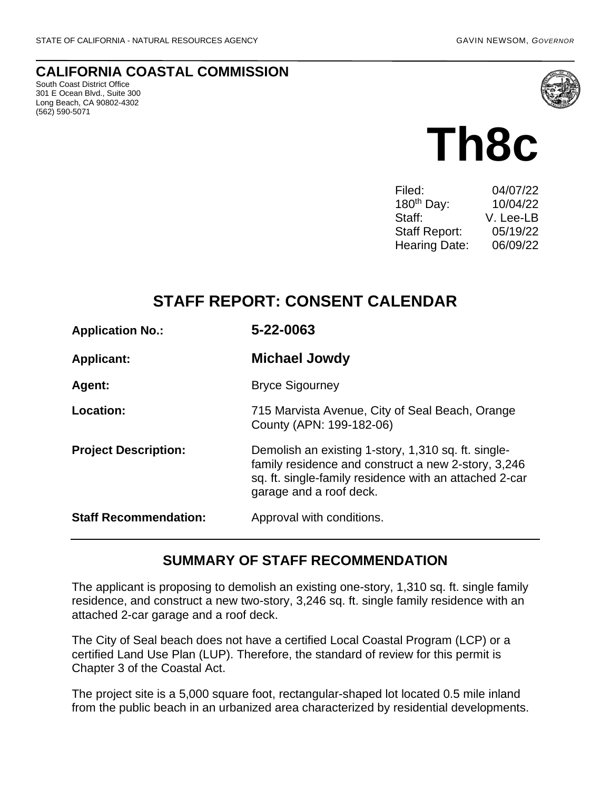#### **CALIFORNIA COASTAL COMMISSION**

South Coast District Office 301 E Ocean Blvd., Suite 300 Long Beach, CA 90802-4302 (562) 590-5071



# **Th8c**

| 04/07/22  |
|-----------|
| 10/04/22  |
| V. Lee-LB |
| 05/19/22  |
| 06/09/22  |
|           |

# **STAFF REPORT: CONSENT CALENDAR**

| <b>Application No.:</b>      | 5-22-0063                                                                                                                                                                                       |
|------------------------------|-------------------------------------------------------------------------------------------------------------------------------------------------------------------------------------------------|
| <b>Applicant:</b>            | <b>Michael Jowdy</b>                                                                                                                                                                            |
| Agent:                       | <b>Bryce Sigourney</b>                                                                                                                                                                          |
| Location:                    | 715 Marvista Avenue, City of Seal Beach, Orange<br>County (APN: 199-182-06)                                                                                                                     |
| <b>Project Description:</b>  | Demolish an existing 1-story, 1,310 sq. ft. single-<br>family residence and construct a new 2-story, 3,246<br>sq. ft. single-family residence with an attached 2-car<br>garage and a roof deck. |
| <b>Staff Recommendation:</b> | Approval with conditions.                                                                                                                                                                       |

#### **SUMMARY OF STAFF RECOMMENDATION**

The applicant is proposing to demolish an existing one-story, 1,310 sq. ft. single family residence, and construct a new two-story, 3,246 sq. ft. single family residence with an attached 2-car garage and a roof deck.

The City of Seal beach does not have a certified Local Coastal Program (LCP) or a certified Land Use Plan (LUP). Therefore, the standard of review for this permit is Chapter 3 of the Coastal Act.

The project site is a 5,000 square foot, rectangular-shaped lot located 0.5 mile inland from the public beach in an urbanized area characterized by residential developments.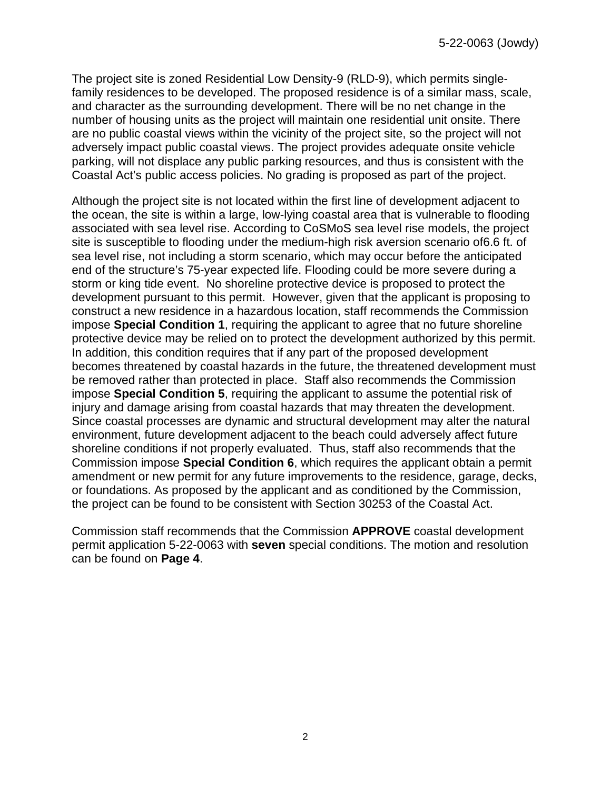The project site is zoned Residential Low Density-9 (RLD-9), which permits singlefamily residences to be developed. The proposed residence is of a similar mass, scale, and character as the surrounding development. There will be no net change in the number of housing units as the project will maintain one residential unit onsite. There are no public coastal views within the vicinity of the project site, so the project will not adversely impact public coastal views. The project provides adequate onsite vehicle parking, will not displace any public parking resources, and thus is consistent with the Coastal Act's public access policies. No grading is proposed as part of the project.

Although the project site is not located within the first line of development adjacent to the ocean, the site is within a large, low-lying coastal area that is vulnerable to flooding associated with sea level rise. According to CoSMoS sea level rise models, the project site is susceptible to flooding under the medium-high risk aversion scenario of6.6 ft. of sea level rise, not including a storm scenario, which may occur before the anticipated end of the structure's 75-year expected life. Flooding could be more severe during a storm or king tide event. No shoreline protective device is proposed to protect the development pursuant to this permit. However, given that the applicant is proposing to construct a new residence in a hazardous location, staff recommends the Commission impose **Special Condition 1**, requiring the applicant to agree that no future shoreline protective device may be relied on to protect the development authorized by this permit. In addition, this condition requires that if any part of the proposed development becomes threatened by coastal hazards in the future, the threatened development must be removed rather than protected in place. Staff also recommends the Commission impose **Special Condition 5**, requiring the applicant to assume the potential risk of injury and damage arising from coastal hazards that may threaten the development. Since coastal processes are dynamic and structural development may alter the natural environment, future development adjacent to the beach could adversely affect future shoreline conditions if not properly evaluated. Thus, staff also recommends that the Commission impose **Special Condition 6**, which requires the applicant obtain a permit amendment or new permit for any future improvements to the residence, garage, decks, or foundations. As proposed by the applicant and as conditioned by the Commission, the project can be found to be consistent with Section 30253 of the Coastal Act.

Commission staff recommends that the Commission **APPROVE** coastal development permit application 5-22-0063 with **seven** special conditions. The motion and resolution can be found on **Page 4**.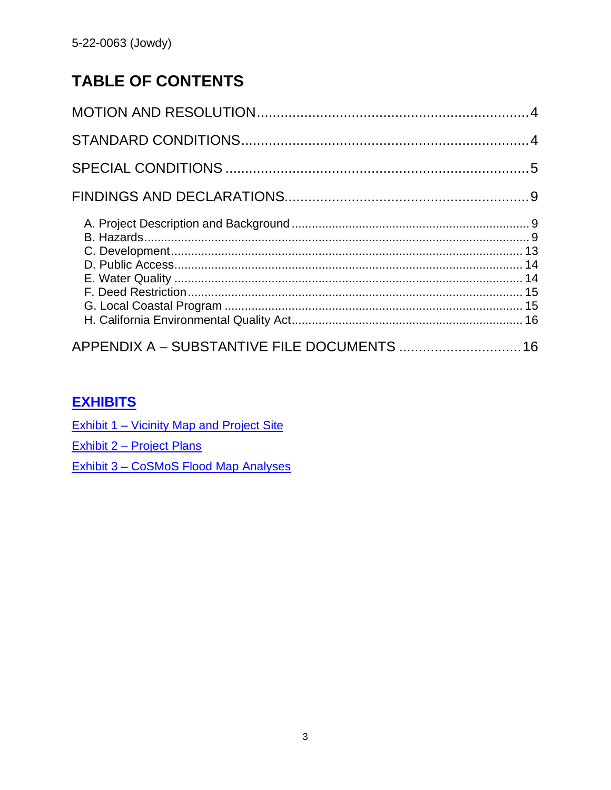# **TABLE OF CONTENTS**

| APPENDIX A - SUBSTANTIVE FILE DOCUMENTS  16 |  |
|---------------------------------------------|--|

# **EXHIBITS**

**Exhibit 1 - Vicinity Map and Project Site** 

**Exhibit 2 - Project Plans** 

Exhibit 3 - CoSMoS Flood Map Analyses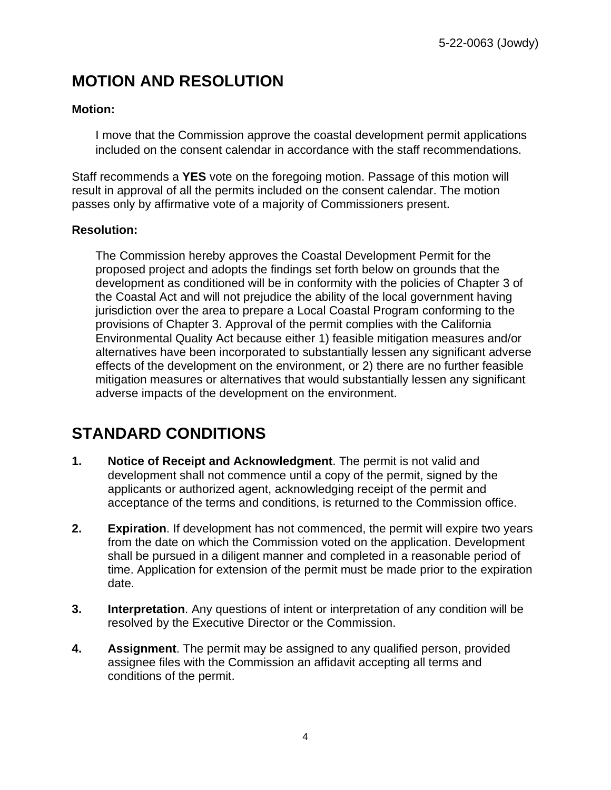# <span id="page-3-0"></span>**MOTION AND RESOLUTION**

#### **Motion:**

I move that the Commission approve the coastal development permit applications included on the consent calendar in accordance with the staff recommendations.

Staff recommends a **YES** vote on the foregoing motion. Passage of this motion will result in approval of all the permits included on the consent calendar. The motion passes only by affirmative vote of a majority of Commissioners present.

#### **Resolution:**

The Commission hereby approves the Coastal Development Permit for the proposed project and adopts the findings set forth below on grounds that the development as conditioned will be in conformity with the policies of Chapter 3 of the Coastal Act and will not prejudice the ability of the local government having jurisdiction over the area to prepare a Local Coastal Program conforming to the provisions of Chapter 3. Approval of the permit complies with the California Environmental Quality Act because either 1) feasible mitigation measures and/or alternatives have been incorporated to substantially lessen any significant adverse effects of the development on the environment, or 2) there are no further feasible mitigation measures or alternatives that would substantially lessen any significant adverse impacts of the development on the environment.

# <span id="page-3-1"></span>**STANDARD CONDITIONS**

- **1. Notice of Receipt and Acknowledgment**. The permit is not valid and development shall not commence until a copy of the permit, signed by the applicants or authorized agent, acknowledging receipt of the permit and acceptance of the terms and conditions, is returned to the Commission office.
- **2. Expiration**. If development has not commenced, the permit will expire two years from the date on which the Commission voted on the application. Development shall be pursued in a diligent manner and completed in a reasonable period of time. Application for extension of the permit must be made prior to the expiration date.
- **3. Interpretation**. Any questions of intent or interpretation of any condition will be resolved by the Executive Director or the Commission.
- **4. Assignment**. The permit may be assigned to any qualified person, provided assignee files with the Commission an affidavit accepting all terms and conditions of the permit.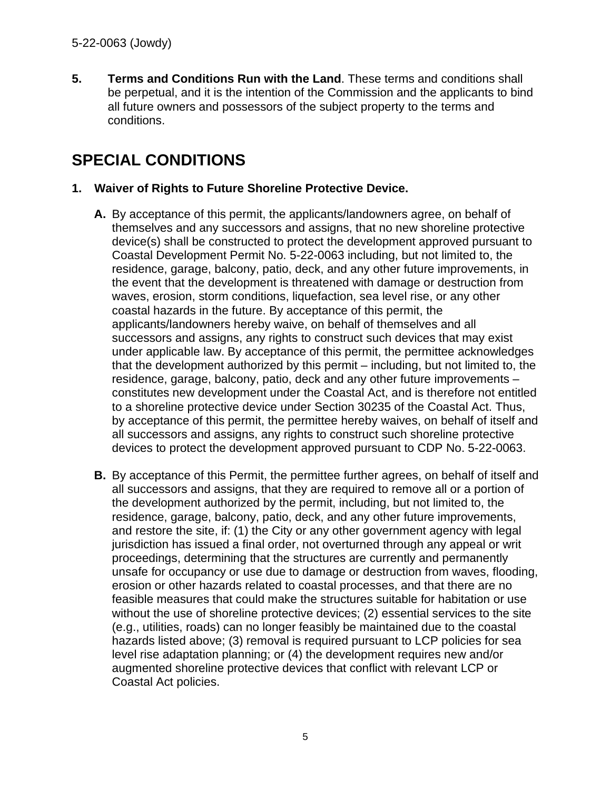**5. Terms and Conditions Run with the Land**. These terms and conditions shall be perpetual, and it is the intention of the Commission and the applicants to bind all future owners and possessors of the subject property to the terms and conditions.

# <span id="page-4-0"></span>**SPECIAL CONDITIONS**

#### **1. Waiver of Rights to Future Shoreline Protective Device.**

- **A.** By acceptance of this permit, the applicants/landowners agree, on behalf of themselves and any successors and assigns, that no new shoreline protective device(s) shall be constructed to protect the development approved pursuant to Coastal Development Permit No. 5-22-0063 including, but not limited to, the residence, garage, balcony, patio, deck, and any other future improvements, in the event that the development is threatened with damage or destruction from waves, erosion, storm conditions, liquefaction, sea level rise, or any other coastal hazards in the future. By acceptance of this permit, the applicants/landowners hereby waive, on behalf of themselves and all successors and assigns, any rights to construct such devices that may exist under applicable law. By acceptance of this permit, the permittee acknowledges that the development authorized by this permit – including, but not limited to, the residence, garage, balcony, patio, deck and any other future improvements – constitutes new development under the Coastal Act, and is therefore not entitled to a shoreline protective device under Section 30235 of the Coastal Act. Thus, by acceptance of this permit, the permittee hereby waives, on behalf of itself and all successors and assigns, any rights to construct such shoreline protective devices to protect the development approved pursuant to CDP No. 5-22-0063.
- **B.** By acceptance of this Permit, the permittee further agrees, on behalf of itself and all successors and assigns, that they are required to remove all or a portion of the development authorized by the permit, including, but not limited to, the residence, garage, balcony, patio, deck, and any other future improvements, and restore the site, if: (1) the City or any other government agency with legal jurisdiction has issued a final order, not overturned through any appeal or writ proceedings, determining that the structures are currently and permanently unsafe for occupancy or use due to damage or destruction from waves, flooding, erosion or other hazards related to coastal processes, and that there are no feasible measures that could make the structures suitable for habitation or use without the use of shoreline protective devices; (2) essential services to the site (e.g., utilities, roads) can no longer feasibly be maintained due to the coastal hazards listed above; (3) removal is required pursuant to LCP policies for sea level rise adaptation planning; or (4) the development requires new and/or augmented shoreline protective devices that conflict with relevant LCP or Coastal Act policies.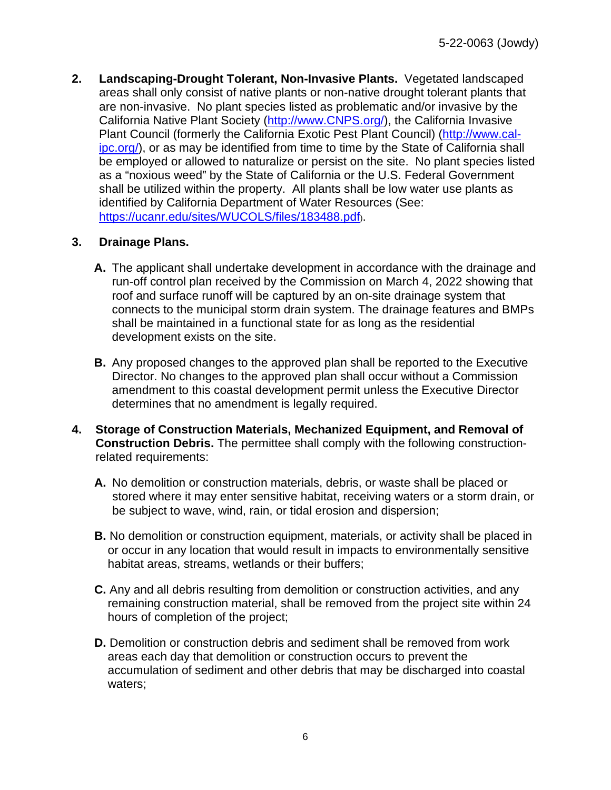**2. Landscaping-Drought Tolerant, Non-Invasive Plants.** Vegetated landscaped areas shall only consist of native plants or non-native drought tolerant plants that are non-invasive. No plant species listed as problematic and/or invasive by the California Native Plant Society [\(http://www.CNPS.org/\)](about:blank), the California Invasive Plant Council (formerly the California Exotic Pest Plant Council) [\(http://www.cal](about:blank)[ipc.org/\)](about:blank), or as may be identified from time to time by the State of California shall be employed or allowed to naturalize or persist on the site. No plant species listed as a "noxious weed" by the State of California or the U.S. Federal Government shall be utilized within the property. All plants shall be low water use plants as identified by California Department of Water Resources (See: [https://ucanr.edu/sites/WUCOLS/files/183488.pdf\)](https://ucanr.edu/sites/WUCOLS/files/183488.pdf).

#### **3. Drainage Plans.**

- **A.** The applicant shall undertake development in accordance with the drainage and run-off control plan received by the Commission on March 4, 2022 showing that roof and surface runoff will be captured by an on-site drainage system that connects to the municipal storm drain system. The drainage features and BMPs shall be maintained in a functional state for as long as the residential development exists on the site.
- **B.** Any proposed changes to the approved plan shall be reported to the Executive Director. No changes to the approved plan shall occur without a Commission amendment to this coastal development permit unless the Executive Director determines that no amendment is legally required.
- **4. Storage of Construction Materials, Mechanized Equipment, and Removal of Construction Debris.** The permittee shall comply with the following constructionrelated requirements:
	- **A.** No demolition or construction materials, debris, or waste shall be placed or stored where it may enter sensitive habitat, receiving waters or a storm drain, or be subject to wave, wind, rain, or tidal erosion and dispersion;
	- **B.** No demolition or construction equipment, materials, or activity shall be placed in or occur in any location that would result in impacts to environmentally sensitive habitat areas, streams, wetlands or their buffers;
	- **C.** Any and all debris resulting from demolition or construction activities, and any remaining construction material, shall be removed from the project site within 24 hours of completion of the project;
	- **D.** Demolition or construction debris and sediment shall be removed from work areas each day that demolition or construction occurs to prevent the accumulation of sediment and other debris that may be discharged into coastal waters;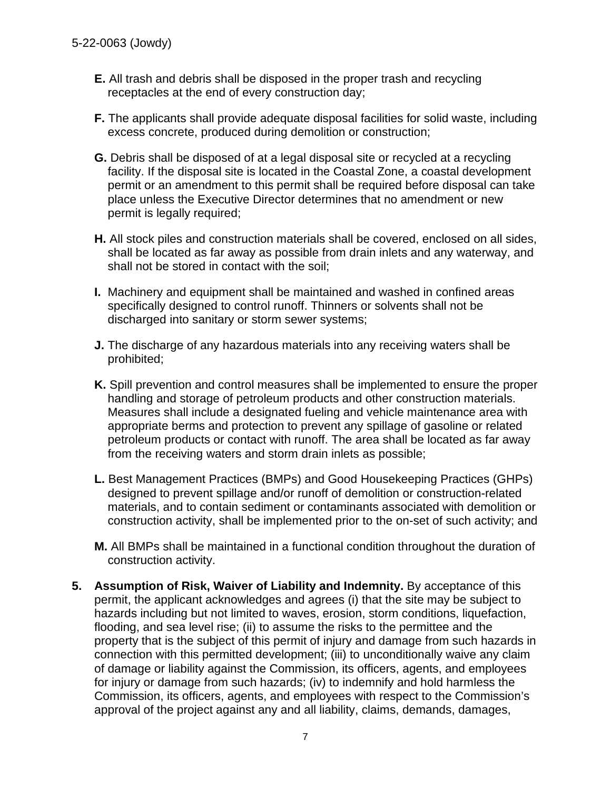- **E.** All trash and debris shall be disposed in the proper trash and recycling receptacles at the end of every construction day;
- **F.** The applicants shall provide adequate disposal facilities for solid waste, including excess concrete, produced during demolition or construction;
- **G.** Debris shall be disposed of at a legal disposal site or recycled at a recycling facility. If the disposal site is located in the Coastal Zone, a coastal development permit or an amendment to this permit shall be required before disposal can take place unless the Executive Director determines that no amendment or new permit is legally required;
- **H.** All stock piles and construction materials shall be covered, enclosed on all sides, shall be located as far away as possible from drain inlets and any waterway, and shall not be stored in contact with the soil;
- **I.** Machinery and equipment shall be maintained and washed in confined areas specifically designed to control runoff. Thinners or solvents shall not be discharged into sanitary or storm sewer systems;
- **J.** The discharge of any hazardous materials into any receiving waters shall be prohibited;
- **K.** Spill prevention and control measures shall be implemented to ensure the proper handling and storage of petroleum products and other construction materials. Measures shall include a designated fueling and vehicle maintenance area with appropriate berms and protection to prevent any spillage of gasoline or related petroleum products or contact with runoff. The area shall be located as far away from the receiving waters and storm drain inlets as possible;
- **L.** Best Management Practices (BMPs) and Good Housekeeping Practices (GHPs) designed to prevent spillage and/or runoff of demolition or construction-related materials, and to contain sediment or contaminants associated with demolition or construction activity, shall be implemented prior to the on-set of such activity; and
- **M.** All BMPs shall be maintained in a functional condition throughout the duration of construction activity.
- **5. Assumption of Risk, Waiver of Liability and Indemnity.** By acceptance of this permit, the applicant acknowledges and agrees (i) that the site may be subject to hazards including but not limited to waves, erosion, storm conditions, liquefaction, flooding, and sea level rise; (ii) to assume the risks to the permittee and the property that is the subject of this permit of injury and damage from such hazards in connection with this permitted development; (iii) to unconditionally waive any claim of damage or liability against the Commission, its officers, agents, and employees for injury or damage from such hazards; (iv) to indemnify and hold harmless the Commission, its officers, agents, and employees with respect to the Commission's approval of the project against any and all liability, claims, demands, damages,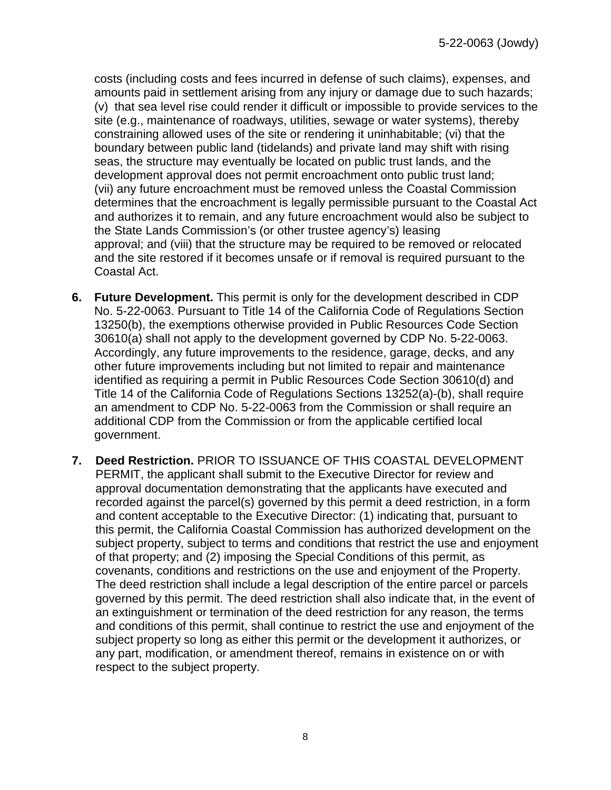costs (including costs and fees incurred in defense of such claims), expenses, and amounts paid in settlement arising from any injury or damage due to such hazards; (v) that sea level rise could render it difficult or impossible to provide services to the site (e.g., maintenance of roadways, utilities, sewage or water systems), thereby constraining allowed uses of the site or rendering it uninhabitable; (vi) that the boundary between public land (tidelands) and private land may shift with rising seas, the structure may eventually be located on public trust lands, and the development approval does not permit encroachment onto public trust land; (vii) any future encroachment must be removed unless the Coastal Commission determines that the encroachment is legally permissible pursuant to the Coastal Act and authorizes it to remain, and any future encroachment would also be subject to the State Lands Commission's (or other trustee agency's) leasing approval; and (viii) that the structure may be required to be removed or relocated and the site restored if it becomes unsafe or if removal is required pursuant to the Coastal Act.

- **6. Future Development.** This permit is only for the development described in CDP No. 5-22-0063. Pursuant to Title 14 of the California Code of Regulations Section 13250(b), the exemptions otherwise provided in Public Resources Code Section 30610(a) shall not apply to the development governed by CDP No. 5-22-0063. Accordingly, any future improvements to the residence, garage, decks, and any other future improvements including but not limited to repair and maintenance identified as requiring a permit in Public Resources Code Section 30610(d) and Title 14 of the California Code of Regulations Sections 13252(a)-(b), shall require an amendment to CDP No. 5-22-0063 from the Commission or shall require an additional CDP from the Commission or from the applicable certified local government.
- **7. Deed Restriction.** PRIOR TO ISSUANCE OF THIS COASTAL DEVELOPMENT PERMIT, the applicant shall submit to the Executive Director for review and approval documentation demonstrating that the applicants have executed and recorded against the parcel(s) governed by this permit a deed restriction, in a form and content acceptable to the Executive Director: (1) indicating that, pursuant to this permit, the California Coastal Commission has authorized development on the subject property, subject to terms and conditions that restrict the use and enjoyment of that property; and (2) imposing the Special Conditions of this permit, as covenants, conditions and restrictions on the use and enjoyment of the Property. The deed restriction shall include a legal description of the entire parcel or parcels governed by this permit. The deed restriction shall also indicate that, in the event of an extinguishment or termination of the deed restriction for any reason, the terms and conditions of this permit, shall continue to restrict the use and enjoyment of the subject property so long as either this permit or the development it authorizes, or any part, modification, or amendment thereof, remains in existence on or with respect to the subject property.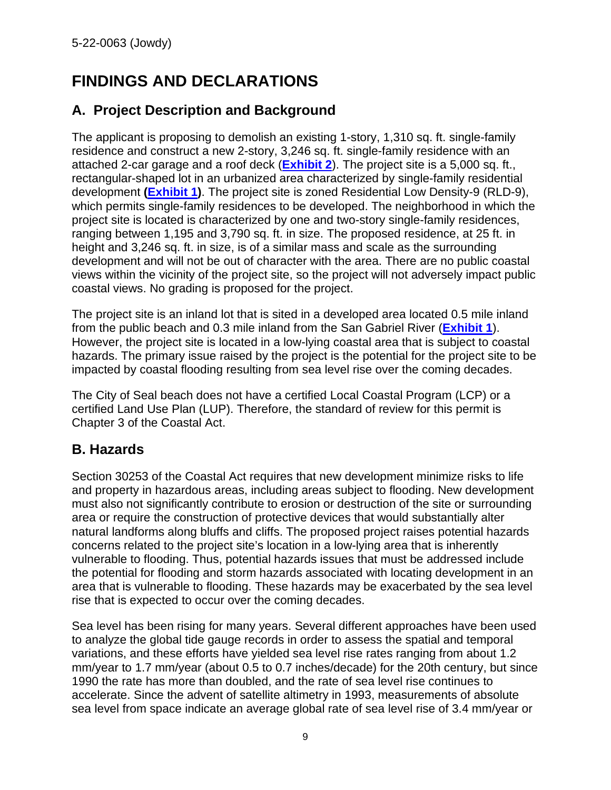# <span id="page-8-0"></span>**FINDINGS AND DECLARATIONS**

## <span id="page-8-1"></span>**A. Project Description and Background**

The applicant is proposing to demolish an existing 1-story, 1,310 sq. ft. single-family residence and construct a new 2-story, 3,246 sq. ft. single-family residence with an attached 2-car garage and a roof deck (**[Exhibit 2](https://documents.coastal.ca.gov/reports/2022/6/Th8c/Th8c-6-2022-exhibits.pdf)**). The project site is a 5,000 sq. ft., rectangular-shaped lot in an urbanized area characterized by single-family residential development **[\(Exhibit 1\)](https://documents.coastal.ca.gov/reports/2022/6/Th8c/Th8c-6-2022-exhibits.pdf)**. The project site is zoned Residential Low Density-9 (RLD-9), which permits single-family residences to be developed. The neighborhood in which the project site is located is characterized by one and two-story single-family residences, ranging between 1,195 and 3,790 sq. ft. in size. The proposed residence, at 25 ft. in height and 3,246 sq. ft. in size, is of a similar mass and scale as the surrounding development and will not be out of character with the area. There are no public coastal views within the vicinity of the project site, so the project will not adversely impact public coastal views. No grading is proposed for the project.

The project site is an inland lot that is sited in a developed area located 0.5 mile inland from the public beach and 0.3 mile inland from the San Gabriel River (**[Exhibit 1](https://documents.coastal.ca.gov/reports/2022/6/Th8c/Th8c-6-2022-exhibits.pdf)**). However, the project site is located in a low-lying coastal area that is subject to coastal hazards. The primary issue raised by the project is the potential for the project site to be impacted by coastal flooding resulting from sea level rise over the coming decades.

The City of Seal beach does not have a certified Local Coastal Program (LCP) or a certified Land Use Plan (LUP). Therefore, the standard of review for this permit is Chapter 3 of the Coastal Act.

## <span id="page-8-2"></span>**B. Hazards**

Section 30253 of the Coastal Act requires that new development minimize risks to life and property in hazardous areas, including areas subject to flooding. New development must also not significantly contribute to erosion or destruction of the site or surrounding area or require the construction of protective devices that would substantially alter natural landforms along bluffs and cliffs. The proposed project raises potential hazards concerns related to the project site's location in a low-lying area that is inherently vulnerable to flooding. Thus, potential hazards issues that must be addressed include the potential for flooding and storm hazards associated with locating development in an area that is vulnerable to flooding. These hazards may be exacerbated by the sea level rise that is expected to occur over the coming decades.

Sea level has been rising for many years. Several different approaches have been used to analyze the global tide gauge records in order to assess the spatial and temporal variations, and these efforts have yielded sea level rise rates ranging from about 1.2 mm/year to 1.7 mm/year (about 0.5 to 0.7 inches/decade) for the 20th century, but since 1990 the rate has more than doubled, and the rate of sea level rise continues to accelerate. Since the advent of satellite altimetry in 1993, measurements of absolute sea level from space indicate an average global rate of sea level rise of 3.4 mm/year or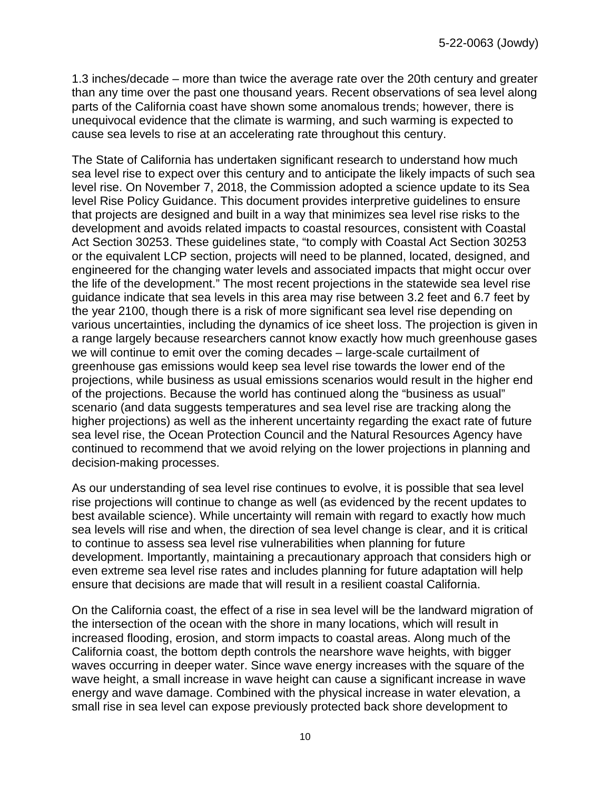1.3 inches/decade – more than twice the average rate over the 20th century and greater than any time over the past one thousand years. Recent observations of sea level along parts of the California coast have shown some anomalous trends; however, there is unequivocal evidence that the climate is warming, and such warming is expected to cause sea levels to rise at an accelerating rate throughout this century.

The State of California has undertaken significant research to understand how much sea level rise to expect over this century and to anticipate the likely impacts of such sea level rise. On November 7, 2018, the Commission adopted a science update to its Sea level Rise Policy Guidance. This document provides interpretive guidelines to ensure that projects are designed and built in a way that minimizes sea level rise risks to the development and avoids related impacts to coastal resources, consistent with Coastal Act Section 30253. These guidelines state, "to comply with Coastal Act Section 30253 or the equivalent LCP section, projects will need to be planned, located, designed, and engineered for the changing water levels and associated impacts that might occur over the life of the development." The most recent projections in the statewide sea level rise guidance indicate that sea levels in this area may rise between 3.2 feet and 6.7 feet by the year 2100, though there is a risk of more significant sea level rise depending on various uncertainties, including the dynamics of ice sheet loss. The projection is given in a range largely because researchers cannot know exactly how much greenhouse gases we will continue to emit over the coming decades – large-scale curtailment of greenhouse gas emissions would keep sea level rise towards the lower end of the projections, while business as usual emissions scenarios would result in the higher end of the projections. Because the world has continued along the "business as usual" scenario (and data suggests temperatures and sea level rise are tracking along the higher projections) as well as the inherent uncertainty regarding the exact rate of future sea level rise, the Ocean Protection Council and the Natural Resources Agency have continued to recommend that we avoid relying on the lower projections in planning and decision-making processes.

As our understanding of sea level rise continues to evolve, it is possible that sea level rise projections will continue to change as well (as evidenced by the recent updates to best available science). While uncertainty will remain with regard to exactly how much sea levels will rise and when, the direction of sea level change is clear, and it is critical to continue to assess sea level rise vulnerabilities when planning for future development. Importantly, maintaining a precautionary approach that considers high or even extreme sea level rise rates and includes planning for future adaptation will help ensure that decisions are made that will result in a resilient coastal California.

On the California coast, the effect of a rise in sea level will be the landward migration of the intersection of the ocean with the shore in many locations, which will result in increased flooding, erosion, and storm impacts to coastal areas. Along much of the California coast, the bottom depth controls the nearshore wave heights, with bigger waves occurring in deeper water. Since wave energy increases with the square of the wave height, a small increase in wave height can cause a significant increase in wave energy and wave damage. Combined with the physical increase in water elevation, a small rise in sea level can expose previously protected back shore development to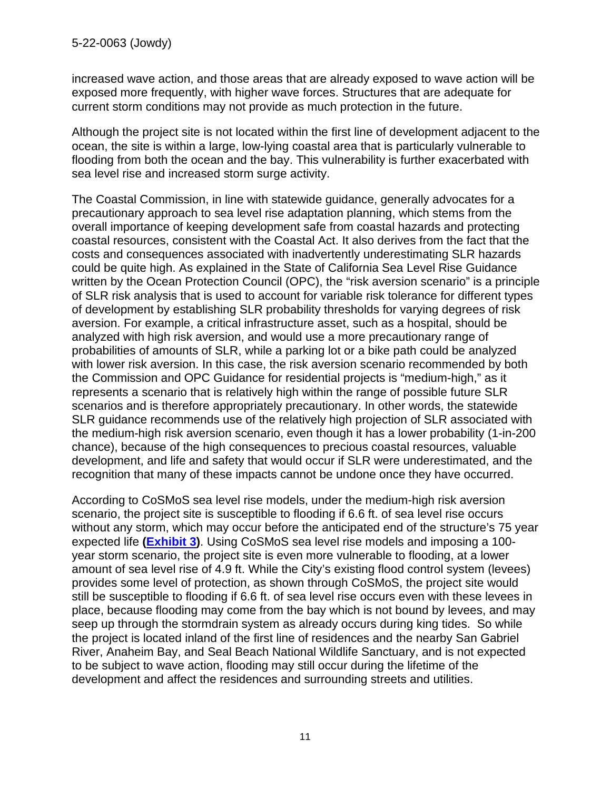increased wave action, and those areas that are already exposed to wave action will be exposed more frequently, with higher wave forces. Structures that are adequate for current storm conditions may not provide as much protection in the future.

Although the project site is not located within the first line of development adjacent to the ocean, the site is within a large, low-lying coastal area that is particularly vulnerable to flooding from both the ocean and the bay. This vulnerability is further exacerbated with sea level rise and increased storm surge activity.

The Coastal Commission, in line with statewide guidance, generally advocates for a precautionary approach to sea level rise adaptation planning, which stems from the overall importance of keeping development safe from coastal hazards and protecting coastal resources, consistent with the Coastal Act. It also derives from the fact that the costs and consequences associated with inadvertently underestimating SLR hazards could be quite high. As explained in the State of California Sea Level Rise Guidance written by the Ocean Protection Council (OPC), the "risk aversion scenario" is a principle of SLR risk analysis that is used to account for variable risk tolerance for different types of development by establishing SLR probability thresholds for varying degrees of risk aversion. For example, a critical infrastructure asset, such as a hospital, should be analyzed with high risk aversion, and would use a more precautionary range of probabilities of amounts of SLR, while a parking lot or a bike path could be analyzed with lower risk aversion. In this case, the risk aversion scenario recommended by both the Commission and OPC Guidance for residential projects is "medium-high," as it represents a scenario that is relatively high within the range of possible future SLR scenarios and is therefore appropriately precautionary. In other words, the statewide SLR guidance recommends use of the relatively high projection of SLR associated with the medium-high risk aversion scenario, even though it has a lower probability (1-in-200 chance), because of the high consequences to precious coastal resources, valuable development, and life and safety that would occur if SLR were underestimated, and the recognition that many of these impacts cannot be undone once they have occurred.

According to CoSMoS sea level rise models, under the medium-high risk aversion scenario, the project site is susceptible to flooding if 6.6 ft. of sea level rise occurs without any storm, which may occur before the anticipated end of the structure's 75 year expected life **[\(Exhibit 3\)](https://documents.coastal.ca.gov/reports/2022/6/Th8c/Th8c-6-2022-exhibits.pdf)**. Using CoSMoS sea level rise models and imposing a 100 year storm scenario, the project site is even more vulnerable to flooding, at a lower amount of sea level rise of 4.9 ft. While the City's existing flood control system (levees) provides some level of protection, as shown through CoSMoS, the project site would still be susceptible to flooding if 6.6 ft. of sea level rise occurs even with these levees in place, because flooding may come from the bay which is not bound by levees, and may seep up through the stormdrain system as already occurs during king tides. So while the project is located inland of the first line of residences and the nearby San Gabriel River, Anaheim Bay, and Seal Beach National Wildlife Sanctuary, and is not expected to be subject to wave action, flooding may still occur during the lifetime of the development and affect the residences and surrounding streets and utilities.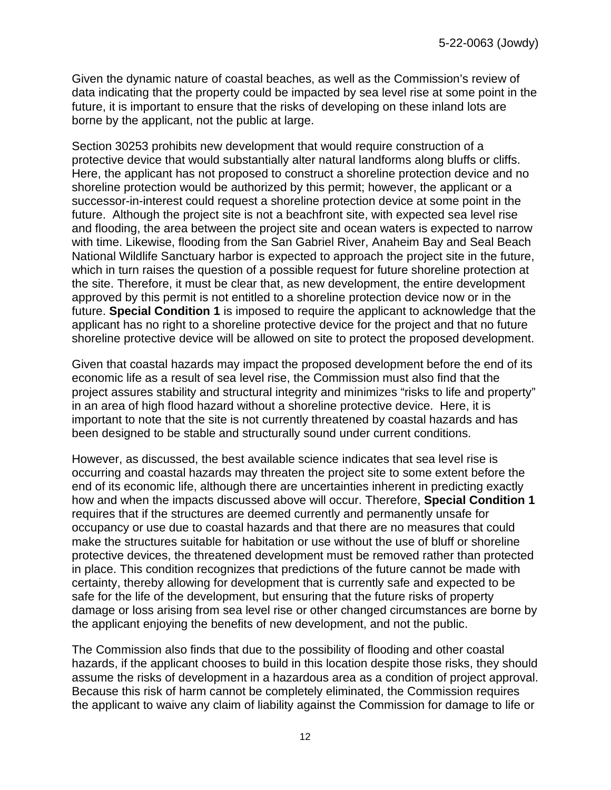Given the dynamic nature of coastal beaches, as well as the Commission's review of data indicating that the property could be impacted by sea level rise at some point in the future, it is important to ensure that the risks of developing on these inland lots are borne by the applicant, not the public at large.

Section 30253 prohibits new development that would require construction of a protective device that would substantially alter natural landforms along bluffs or cliffs. Here, the applicant has not proposed to construct a shoreline protection device and no shoreline protection would be authorized by this permit; however, the applicant or a successor-in-interest could request a shoreline protection device at some point in the future. Although the project site is not a beachfront site, with expected sea level rise and flooding, the area between the project site and ocean waters is expected to narrow with time. Likewise, flooding from the San Gabriel River, Anaheim Bay and Seal Beach National Wildlife Sanctuary harbor is expected to approach the project site in the future, which in turn raises the question of a possible request for future shoreline protection at the site. Therefore, it must be clear that, as new development, the entire development approved by this permit is not entitled to a shoreline protection device now or in the future. **Special Condition 1** is imposed to require the applicant to acknowledge that the applicant has no right to a shoreline protective device for the project and that no future shoreline protective device will be allowed on site to protect the proposed development.

Given that coastal hazards may impact the proposed development before the end of its economic life as a result of sea level rise, the Commission must also find that the project assures stability and structural integrity and minimizes "risks to life and property" in an area of high flood hazard without a shoreline protective device. Here, it is important to note that the site is not currently threatened by coastal hazards and has been designed to be stable and structurally sound under current conditions.

However, as discussed, the best available science indicates that sea level rise is occurring and coastal hazards may threaten the project site to some extent before the end of its economic life, although there are uncertainties inherent in predicting exactly how and when the impacts discussed above will occur. Therefore, **Special Condition 1** requires that if the structures are deemed currently and permanently unsafe for occupancy or use due to coastal hazards and that there are no measures that could make the structures suitable for habitation or use without the use of bluff or shoreline protective devices, the threatened development must be removed rather than protected in place. This condition recognizes that predictions of the future cannot be made with certainty, thereby allowing for development that is currently safe and expected to be safe for the life of the development, but ensuring that the future risks of property damage or loss arising from sea level rise or other changed circumstances are borne by the applicant enjoying the benefits of new development, and not the public.

The Commission also finds that due to the possibility of flooding and other coastal hazards, if the applicant chooses to build in this location despite those risks, they should assume the risks of development in a hazardous area as a condition of project approval. Because this risk of harm cannot be completely eliminated, the Commission requires the applicant to waive any claim of liability against the Commission for damage to life or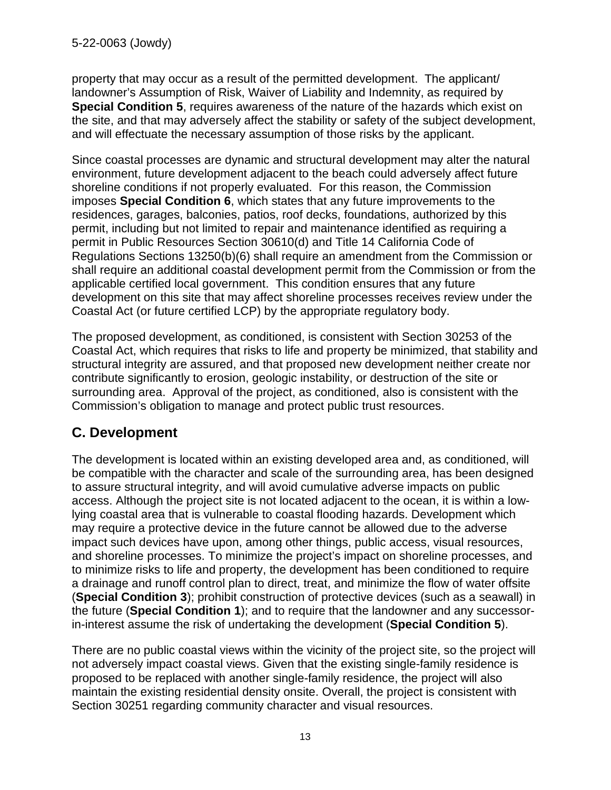property that may occur as a result of the permitted development. The applicant/ landowner's Assumption of Risk, Waiver of Liability and Indemnity, as required by **Special Condition 5**, requires awareness of the nature of the hazards which exist on the site, and that may adversely affect the stability or safety of the subject development, and will effectuate the necessary assumption of those risks by the applicant.

Since coastal processes are dynamic and structural development may alter the natural environment, future development adjacent to the beach could adversely affect future shoreline conditions if not properly evaluated. For this reason, the Commission imposes **Special Condition 6**, which states that any future improvements to the residences, garages, balconies, patios, roof decks, foundations, authorized by this permit, including but not limited to repair and maintenance identified as requiring a permit in Public Resources Section 30610(d) and Title 14 California Code of Regulations Sections 13250(b)(6) shall require an amendment from the Commission or shall require an additional coastal development permit from the Commission or from the applicable certified local government. This condition ensures that any future development on this site that may affect shoreline processes receives review under the Coastal Act (or future certified LCP) by the appropriate regulatory body.

The proposed development, as conditioned, is consistent with Section 30253 of the Coastal Act, which requires that risks to life and property be minimized, that stability and structural integrity are assured, and that proposed new development neither create nor contribute significantly to erosion, geologic instability, or destruction of the site or surrounding area. Approval of the project, as conditioned, also is consistent with the Commission's obligation to manage and protect public trust resources.

# <span id="page-12-0"></span>**C. Development**

The development is located within an existing developed area and, as conditioned, will be compatible with the character and scale of the surrounding area, has been designed to assure structural integrity, and will avoid cumulative adverse impacts on public access. Although the project site is not located adjacent to the ocean, it is within a lowlying coastal area that is vulnerable to coastal flooding hazards. Development which may require a protective device in the future cannot be allowed due to the adverse impact such devices have upon, among other things, public access, visual resources, and shoreline processes. To minimize the project's impact on shoreline processes, and to minimize risks to life and property, the development has been conditioned to require a drainage and runoff control plan to direct, treat, and minimize the flow of water offsite (**Special Condition 3**); prohibit construction of protective devices (such as a seawall) in the future (**Special Condition 1**); and to require that the landowner and any successorin-interest assume the risk of undertaking the development (**Special Condition 5**).

There are no public coastal views within the vicinity of the project site, so the project will not adversely impact coastal views. Given that the existing single-family residence is proposed to be replaced with another single-family residence, the project will also maintain the existing residential density onsite. Overall, the project is consistent with Section 30251 regarding community character and visual resources.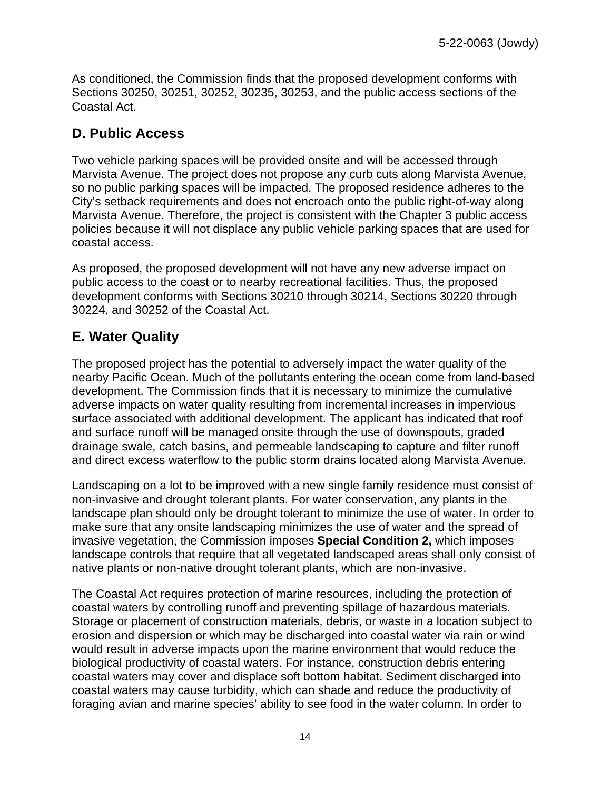As conditioned, the Commission finds that the proposed development conforms with Sections 30250, 30251, 30252, 30235, 30253, and the public access sections of the Coastal Act.

## <span id="page-13-0"></span>**D. Public Access**

Two vehicle parking spaces will be provided onsite and will be accessed through Marvista Avenue. The project does not propose any curb cuts along Marvista Avenue, so no public parking spaces will be impacted. The proposed residence adheres to the City's setback requirements and does not encroach onto the public right-of-way along Marvista Avenue. Therefore, the project is consistent with the Chapter 3 public access policies because it will not displace any public vehicle parking spaces that are used for coastal access.

As proposed, the proposed development will not have any new adverse impact on public access to the coast or to nearby recreational facilities. Thus, the proposed development conforms with Sections 30210 through 30214, Sections 30220 through 30224, and 30252 of the Coastal Act.

## <span id="page-13-1"></span>**E. Water Quality**

The proposed project has the potential to adversely impact the water quality of the nearby Pacific Ocean. Much of the pollutants entering the ocean come from land-based development. The Commission finds that it is necessary to minimize the cumulative adverse impacts on water quality resulting from incremental increases in impervious surface associated with additional development. The applicant has indicated that roof and surface runoff will be managed onsite through the use of downspouts, graded drainage swale, catch basins, and permeable landscaping to capture and filter runoff and direct excess waterflow to the public storm drains located along Marvista Avenue.

Landscaping on a lot to be improved with a new single family residence must consist of non-invasive and drought tolerant plants. For water conservation, any plants in the landscape plan should only be drought tolerant to minimize the use of water. In order to make sure that any onsite landscaping minimizes the use of water and the spread of invasive vegetation, the Commission imposes **Special Condition 2,** which imposes landscape controls that require that all vegetated landscaped areas shall only consist of native plants or non-native drought tolerant plants, which are non-invasive.

The Coastal Act requires protection of marine resources, including the protection of coastal waters by controlling runoff and preventing spillage of hazardous materials. Storage or placement of construction materials, debris, or waste in a location subject to erosion and dispersion or which may be discharged into coastal water via rain or wind would result in adverse impacts upon the marine environment that would reduce the biological productivity of coastal waters. For instance, construction debris entering coastal waters may cover and displace soft bottom habitat. Sediment discharged into coastal waters may cause turbidity, which can shade and reduce the productivity of foraging avian and marine species' ability to see food in the water column. In order to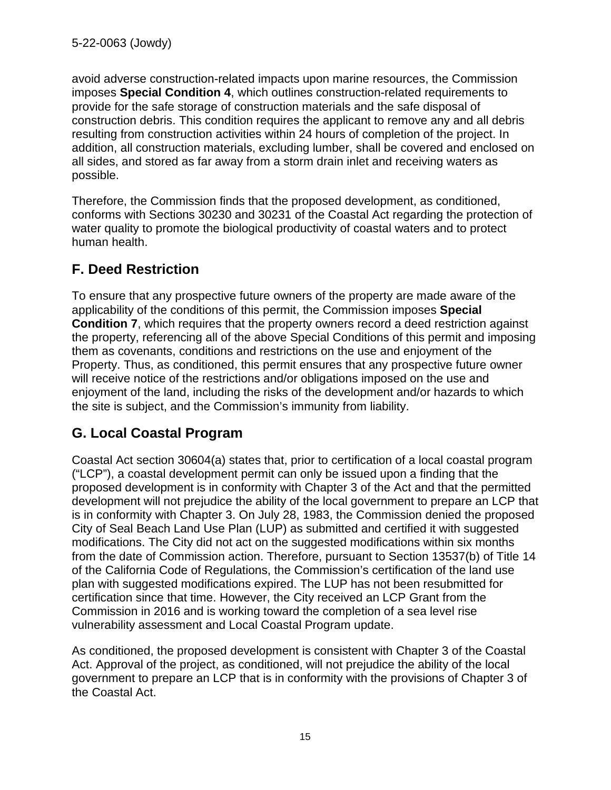avoid adverse construction-related impacts upon marine resources, the Commission imposes **Special Condition 4**, which outlines construction-related requirements to provide for the safe storage of construction materials and the safe disposal of construction debris. This condition requires the applicant to remove any and all debris resulting from construction activities within 24 hours of completion of the project. In addition, all construction materials, excluding lumber, shall be covered and enclosed on all sides, and stored as far away from a storm drain inlet and receiving waters as possible.

Therefore, the Commission finds that the proposed development, as conditioned, conforms with Sections 30230 and 30231 of the Coastal Act regarding the protection of water quality to promote the biological productivity of coastal waters and to protect human health.

## <span id="page-14-0"></span>**F. Deed Restriction**

To ensure that any prospective future owners of the property are made aware of the applicability of the conditions of this permit, the Commission imposes **Special Condition 7**, which requires that the property owners record a deed restriction against the property, referencing all of the above Special Conditions of this permit and imposing them as covenants, conditions and restrictions on the use and enjoyment of the Property. Thus, as conditioned, this permit ensures that any prospective future owner will receive notice of the restrictions and/or obligations imposed on the use and enjoyment of the land, including the risks of the development and/or hazards to which the site is subject, and the Commission's immunity from liability.

# <span id="page-14-1"></span>**G. Local Coastal Program**

Coastal Act section 30604(a) states that, prior to certification of a local coastal program ("LCP"), a coastal development permit can only be issued upon a finding that the proposed development is in conformity with Chapter 3 of the Act and that the permitted development will not prejudice the ability of the local government to prepare an LCP that is in conformity with Chapter 3. On July 28, 1983, the Commission denied the proposed City of Seal Beach Land Use Plan (LUP) as submitted and certified it with suggested modifications. The City did not act on the suggested modifications within six months from the date of Commission action. Therefore, pursuant to Section 13537(b) of Title 14 of the California Code of Regulations, the Commission's certification of the land use plan with suggested modifications expired. The LUP has not been resubmitted for certification since that time. However, the City received an LCP Grant from the Commission in 2016 and is working toward the completion of a sea level rise vulnerability assessment and Local Coastal Program update.

As conditioned, the proposed development is consistent with Chapter 3 of the Coastal Act. Approval of the project, as conditioned, will not prejudice the ability of the local government to prepare an LCP that is in conformity with the provisions of Chapter 3 of the Coastal Act.